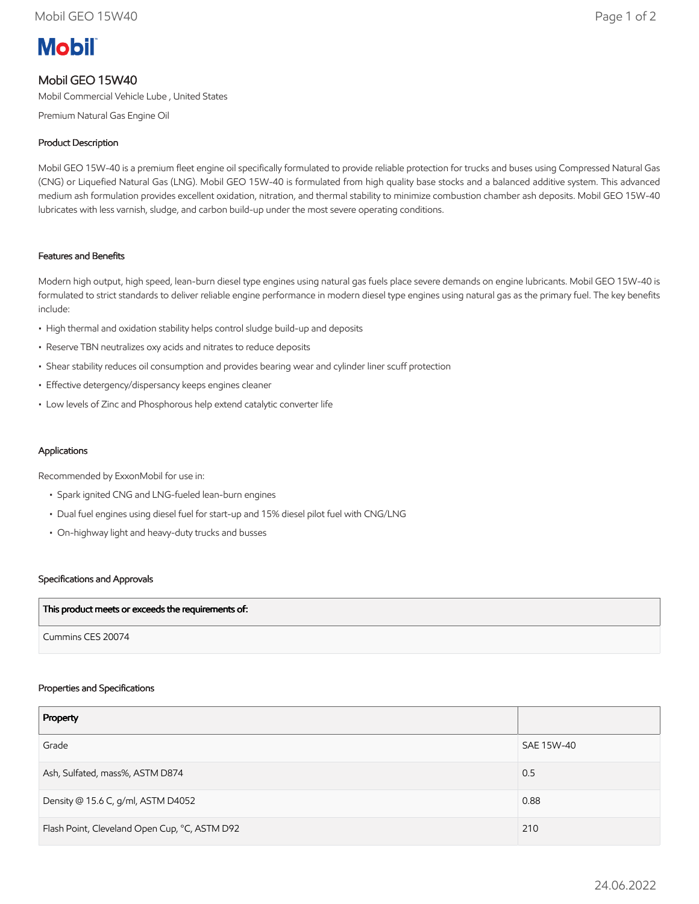# **Mobil**

## Mobil GEO 15W40

Mobil Commercial Vehicle Lube , United States

Premium Natural Gas Engine Oil

## Product Description

Mobil GEO 15W-40 is a premium fleet engine oil specifically formulated to provide reliable protection for trucks and buses using Compressed Natural Gas (CNG) or Liquefied Natural Gas (LNG). Mobil GEO 15W-40 is formulated from high quality base stocks and a balanced additive system. This advanced medium ash formulation provides excellent oxidation, nitration, and thermal stability to minimize combustion chamber ash deposits. Mobil GEO 15W-40 lubricates with less varnish, sludge, and carbon build-up under the most severe operating conditions.

## Features and Benefits

Modern high output, high speed, lean-burn diesel type engines using natural gas fuels place severe demands on engine lubricants. Mobil GEO 15W-40 is formulated to strict standards to deliver reliable engine performance in modern diesel type engines using natural gas as the primary fuel. The key benefits include:

- High thermal and oxidation stability helps control sludge build-up and deposits
- Reserve TBN neutralizes oxy acids and nitrates to reduce deposits
- Shear stability reduces oil consumption and provides bearing wear and cylinder liner scuff protection
- Effective detergency/dispersancy keeps engines cleaner
- Low levels of Zinc and Phosphorous help extend catalytic converter life

#### Applications

Recommended by ExxonMobil for use in:

- Spark ignited CNG and LNG-fueled lean-burn engines
- Dual fuel engines using diesel fuel for start-up and 15% diesel pilot fuel with CNG/LNG
- On-highway light and heavy-duty trucks and busses

#### Specifications and Approvals

| This product meets or exceeds the requirements of: |  |
|----------------------------------------------------|--|
| Cummins CES 20074                                  |  |

#### Properties and Specifications

| Property                                      |            |
|-----------------------------------------------|------------|
| Grade                                         | SAE 15W-40 |
| Ash, Sulfated, mass%, ASTM D874               | 0.5        |
| Density @ 15.6 C, g/ml, ASTM D4052            | 0.88       |
| Flash Point, Cleveland Open Cup, °C, ASTM D92 | 210        |